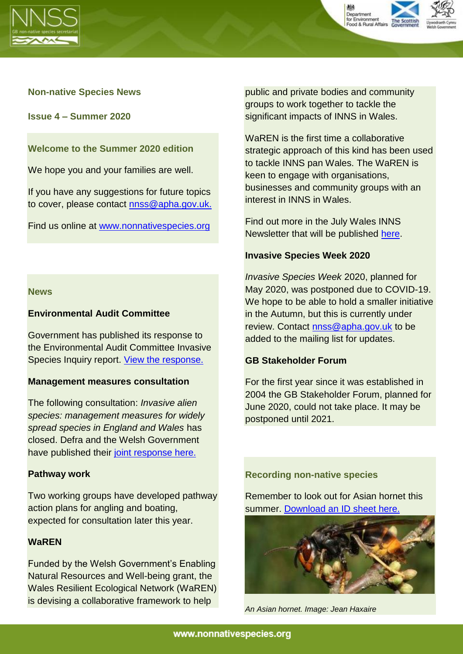



## **Non-native Species News**

**Issue 4 – Summer 2020**

**Welcome to the Summer 2020 edition**

We hope you and your families are well.

If you have any suggestions for future topics to cover, please contact [nnss@apha.gov.uk.](mailto:nnss@apha.gov.uk)

Find us online at [www.nonnativespecies.org](http://www.nonnativespecies.org/) 

#### **News**

### **Environmental Audit Committee**

Government has published its response to the Environmental Audit Committee Invasive Species Inquiry report. [View the response.](https://committees.parliament.uk/committee/62/environmental-audit-committee/news/146382/invasive-species-report-published-19-21/)

#### **Management measures consultation**

The following consultation: *Invasive alien species: management measures for widely spread species in England and Wales* has closed. Defra and the Welsh Government have published their [joint response here.](https://www.gov.uk/government/consultations/invasive-alien-species-management-measures-for-widely-spread-species-in-england-and-wales)

#### **Pathway work**

Two working groups have developed pathway action plans for angling and boating, expected for consultation later this year.

## **WaREN**

Funded by the Welsh Government's Enabling Natural Resources and Well-being grant, the Wales Resilient Ecological Network (WaREN) is devising a collaborative framework to help

public and private bodies and community groups to work together to tackle the significant impacts of INNS in Wales.

WaREN is the first time a collaborative strategic approach of this kind has been used to tackle INNS pan Wales. The WaREN is keen to engage with organisations, businesses and community groups with an interest in INNS in Wales.

Find out more in the July Wales INNS Newsletter that will be published [here.](https://www.biodiversitywales.org.uk/Invasive-Non-Native-Species-Group)

#### **Invasive Species Week 2020**

*Invasive Species Week* 2020, planned for May 2020, was postponed due to COVID-19. We hope to be able to hold a smaller initiative in the Autumn, but this is currently under review. Contact [nnss@apha.gov.uk](mailto:nnss@apha.gov.uk) to be added to the mailing list for updates.

#### **GB Stakeholder Forum**

For the first year since it was established in 2004 the GB Stakeholder Forum, planned for June 2020, could not take place. It may be postponed until 2021.



*An Asian hornet. Image: Jean Haxaire*

**Recording non-native species**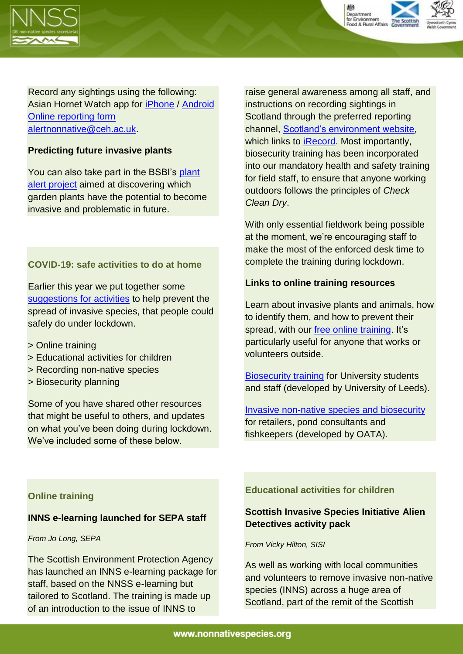



Record any sightings using the following: Asian Hornet Watch app for [iPhone](https://itunes.apple.com/gb/app/asian-hornet-watch/id1161238813?mt=8) / [Android](https://play.google.com/store/apps/details?id=uk.ac.ceh.hornets) [Online reporting form](http://www.brc.ac.uk/risc/alert.php?species=asian_hornet) [alertnonnative@ceh.ac.uk.](mailto:alertnonnative@ceh.ac.uk)

# **Predicting future invasive plants**

You can also take part in the BSBI's [plant](https://bsbi.org/plant-alert)  [alert project](https://bsbi.org/plant-alert) aimed at discovering which garden plants have the potential to become invasive and problematic in future.

## **COVID-19: safe activities to do at home**

Earlier this year we put together some [suggestions for activities](http://www.nonnativespecies.org/news/index.cfm?id=347) to help prevent the spread of invasive species, that people could safely do under lockdown.

- > Online training
- > Educational activities for children
- > Recording non-native species
- > Biosecurity planning

Some of you have shared other resources that might be useful to others, and updates on what you've been doing during lockdown. We've included some of these below

raise general awareness among all staff, and instructions on recording sightings in Scotland through the preferred reporting channel, [Scotland's environment website,](https://www.environment.gov.scot/get-involved/submit-your-data/invasive-non-native-species/) which links to [iRecord.](https://www.brc.ac.uk/irecord/enter-non-native-records) Most importantly, biosecurity training has been incorporated into our mandatory health and safety training for field staff, to ensure that anyone working outdoors follows the principles of *Check Clean Dry*.

With only essential fieldwork being possible at the moment, we're encouraging staff to make the most of the enforced desk time to complete the training during lockdown.

## **Links to online training resources**

Learn about invasive plants and animals, how to identify them, and how to prevent their spread, with our [free online training.](http://www.nonnativespecies.org/elearning) It's particularly useful for anyone that works or volunteers outside.

[Biosecurity training](https://openeducation.blackboard.com/mooc-catalog/courseDetails/view?course_id=_1189_1) for University students and staff (developed by University of Leeds).

[Invasive non-native species and biosecurity](https://ornamentalfish.org/training/invasive-non-native-species-training-module/) for retailers, pond consultants and fishkeepers (developed by OATA).

## **Online training**

## **INNS e-learning launched for SEPA staff**

#### *From Jo Long, SEPA*

The Scottish Environment Protection Agency has launched an INNS e-learning package for staff, based on the NNSS e-learning but tailored to Scotland. The training is made up of an introduction to the issue of INNS to

**Educational activities for children**

# **Scottish Invasive Species Initiative Alien Detectives activity pack**

#### *From Vicky Hilton, SISI*

As well as working with local communities and volunteers to remove invasive non-native species (INNS) across a huge area of Scotland, part of the remit of the Scottish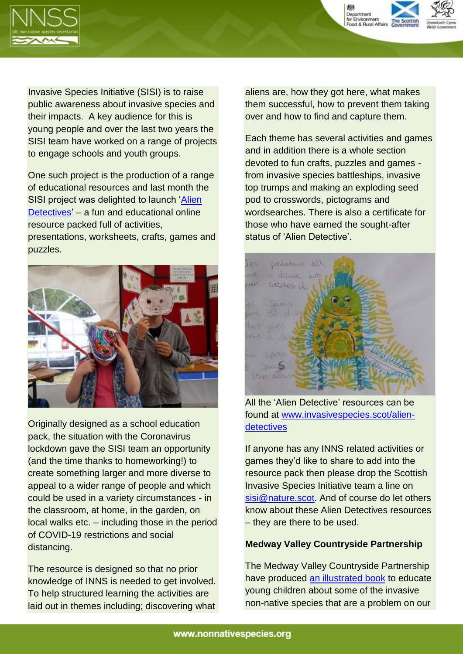

Invasive Species Initiative (SISI) is to raise public awareness about invasive species and their impacts. A key audience for this is young people and over the last two years the SISI team have worked on a range of projects to engage schools and youth groups.

One such project is the production of a range of educational resources and last month the SISI project was delighted to launch ['Alien](https://www.invasivespecies.scot/alien-detectives)  [Detectives'](https://www.invasivespecies.scot/alien-detectives) – a fun and educational online resource packed full of activities, presentations, worksheets, crafts, games and puzzles.



Originally designed as a school education pack, the situation with the Coronavirus lockdown gave the SISI team an opportunity (and the time thanks to homeworking!) to create something larger and more diverse to appeal to a wider range of people and which could be used in a variety circumstances - in the classroom, at home, in the garden, on local walks etc. – including those in the period of COVID-19 restrictions and social distancing.

The resource is designed so that no prior knowledge of INNS is needed to get involved. To help structured learning the activities are laid out in themes including; discovering what aliens are, how they got here, what makes them successful, how to prevent them taking over and how to find and capture them.

Department for Environment<br>Food & Rural Affairs

Each theme has several activities and games and in addition there is a whole section devoted to fun crafts, puzzles and games from invasive species battleships, invasive top trumps and making an exploding seed pod to crosswords, pictograms and wordsearches. There is also a certificate for those who have earned the sought-after status of 'Alien Detective'.



All the 'Alien Detective' resources can be found at [www.invasivespecies.scot/alien](http://www.invasivespecies.scot/alien-detectives)[detectives](http://www.invasivespecies.scot/alien-detectives)

If anyone has any INNS related activities or games they'd like to share to add into the resource pack then please drop the Scottish Invasive Species Initiative team a line on [sisi@nature.scot.](mailto:sisi@nature.scot) And of course do let others know about these Alien Detectives resources – they are there to be used.

## **Medway Valley Countryside Partnership**

The Medway Valley Countryside Partnership have produced [an illustrated book](https://secure.fera.defra.gov.uk/nonnativespecies/downloadDocument.cfm?id=2329) to educate young children about some of the invasive non-native species that are a problem on our